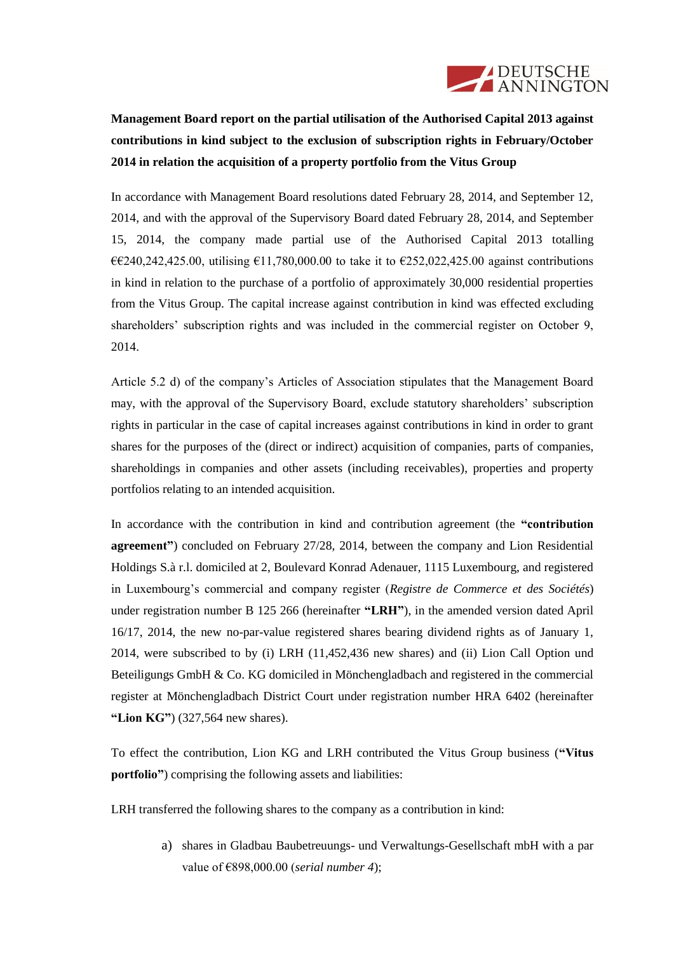

**Management Board report on the partial utilisation of the Authorised Capital 2013 against contributions in kind subject to the exclusion of subscription rights in February/October 2014 in relation the acquisition of a property portfolio from the Vitus Group**

In accordance with Management Board resolutions dated February 28, 2014, and September 12, 2014, and with the approval of the Supervisory Board dated February 28, 2014, and September 15, 2014, the company made partial use of the Authorised Capital 2013 totalling  $€€240,242,425.00$ , utilising €11,780,000.00 to take it to €252,022,425.00 against contributions in kind in relation to the purchase of a portfolio of approximately 30,000 residential properties from the Vitus Group. The capital increase against contribution in kind was effected excluding shareholders' subscription rights and was included in the commercial register on October 9, 2014.

Article 5.2 d) of the company's Articles of Association stipulates that the Management Board may, with the approval of the Supervisory Board, exclude statutory shareholders' subscription rights in particular in the case of capital increases against contributions in kind in order to grant shares for the purposes of the (direct or indirect) acquisition of companies, parts of companies, shareholdings in companies and other assets (including receivables), properties and property portfolios relating to an intended acquisition.

In accordance with the contribution in kind and contribution agreement (the **"contribution agreement"**) concluded on February 27/28, 2014, between the company and Lion Residential Holdings S.à r.l. domiciled at 2, Boulevard Konrad Adenauer, 1115 Luxembourg, and registered in Luxembourg's commercial and company register (*Registre de Commerce et des Sociétés*) under registration number B 125 266 (hereinafter **"LRH"**), in the amended version dated April 16/17, 2014, the new no-par-value registered shares bearing dividend rights as of January 1, 2014, were subscribed to by (i) LRH (11,452,436 new shares) and (ii) Lion Call Option und Beteiligungs GmbH & Co. KG domiciled in Mönchengladbach and registered in the commercial register at Mönchengladbach District Court under registration number HRA 6402 (hereinafter **"Lion KG"**) (327,564 new shares).

To effect the contribution, Lion KG and LRH contributed the Vitus Group business (**"Vitus portfolio**") comprising the following assets and liabilities:

LRH transferred the following shares to the company as a contribution in kind:

a) shares in Gladbau Baubetreuungs- und Verwaltungs-Gesellschaft mbH with a par value of €898,000.00 (*serial number 4*);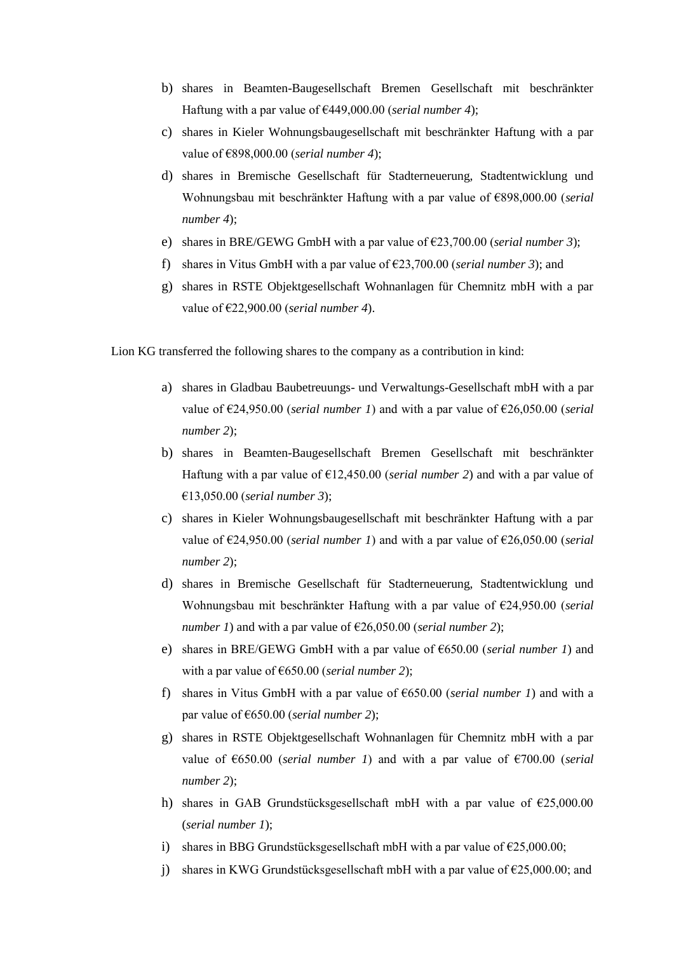- b) shares in Beamten-Baugesellschaft Bremen Gesellschaft mit beschränkter Haftung with a par value of €449,000.00 (*serial number 4*);
- c) shares in Kieler Wohnungsbaugesellschaft mit beschränkter Haftung with a par value of €898,000.00 (*serial number 4*);
- d) shares in Bremische Gesellschaft für Stadterneuerung, Stadtentwicklung und Wohnungsbau mit beschränkter Haftung with a par value of €898,000.00 (*serial number 4*);
- e) shares in BRE/GEWG GmbH with a par value of €23,700.00 (*serial number 3*);
- f) shares in Vitus GmbH with a par value of  $\epsilon$ 23,700.00 (*serial number 3*); and
- g) shares in RSTE Objektgesellschaft Wohnanlagen für Chemnitz mbH with a par value of €22,900.00 (*serial number 4*).

Lion KG transferred the following shares to the company as a contribution in kind:

- a) shares in Gladbau Baubetreuungs- und Verwaltungs-Gesellschaft mbH with a par value of €24,950.00 (*serial number 1*) and with a par value of €26,050.00 (*serial number 2*);
- b) shares in Beamten-Baugesellschaft Bremen Gesellschaft mit beschränkter Haftung with a par value of  $\epsilon$ 12,450.00 (*serial number 2*) and with a par value of €13,050.00 (*serial number 3*);
- c) shares in Kieler Wohnungsbaugesellschaft mit beschränkter Haftung with a par value of €24,950.00 (*serial number 1*) and with a par value of €26,050.00 (*serial number 2*);
- d) shares in Bremische Gesellschaft für Stadterneuerung, Stadtentwicklung und Wohnungsbau mit beschränkter Haftung with a par value of €24,950.00 (*serial number 1*) and with a par value of  $\epsilon$ 26,050.00 (*serial number 2*);
- e) shares in BRE/GEWG GmbH with a par value of €650.00 (*serial number 1*) and with a par value of €650.00 (*serial number 2*);
- f) shares in Vitus GmbH with a par value of €650.00 (*serial number 1*) and with a par value of €650.00 (*serial number 2*);
- g) shares in RSTE Objektgesellschaft Wohnanlagen für Chemnitz mbH with a par value of  $\epsilon$ 650.00 (*serial number 1*) and with a par value of  $\epsilon$ 700.00 (*serial number 2*);
- h) shares in GAB Grundstücksgesellschaft mbH with a par value of  $\epsilon$ 25,000.00 (*serial number 1*);
- i) shares in BBG Grundstücksgesellschaft mbH with a par value of  $\epsilon$ 25,000.00;
- j) shares in KWG Grundstücksgesellschaft mbH with a par value of  $\epsilon$ 25,000.00; and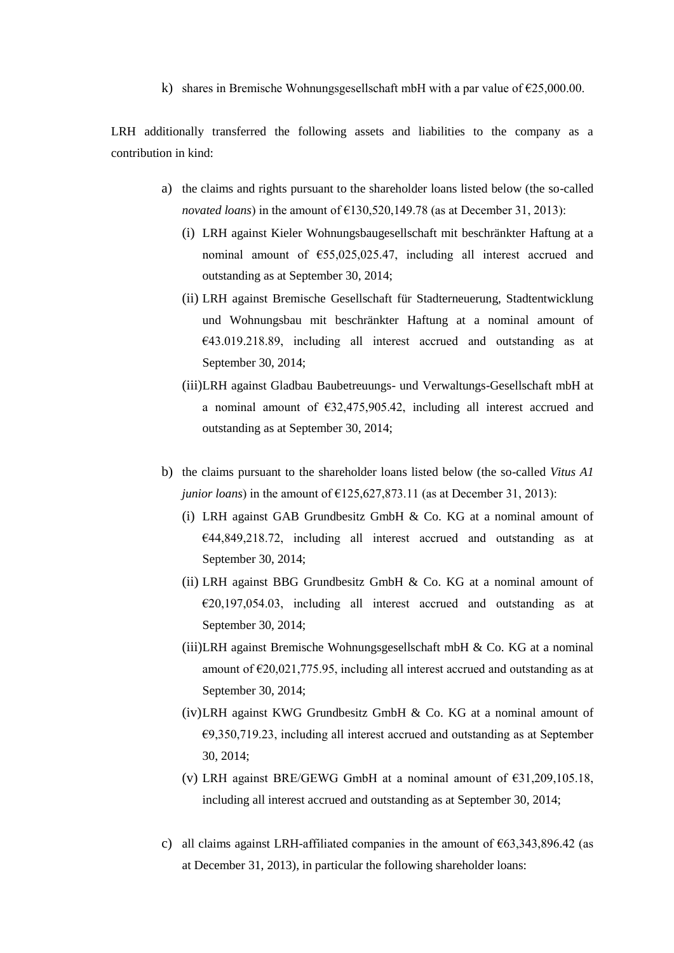k) shares in Bremische Wohnungsgesellschaft mbH with a par value of  $\epsilon$ 25,000.00.

LRH additionally transferred the following assets and liabilities to the company as a contribution in kind:

- a) the claims and rights pursuant to the shareholder loans listed below (the so-called *novated loans*) in the amount of  $£130,520,149.78$  (as at December 31, 2013):
	- (i) LRH against Kieler Wohnungsbaugesellschaft mit beschränkter Haftung at a nominal amount of €55,025,025.47, including all interest accrued and outstanding as at September 30, 2014;
	- (ii) LRH against Bremische Gesellschaft für Stadterneuerung, Stadtentwicklung und Wohnungsbau mit beschränkter Haftung at a nominal amount of  $€43.019.218.89$ , including all interest accrued and outstanding as at September 30, 2014;
	- (iii)LRH against Gladbau Baubetreuungs- und Verwaltungs-Gesellschaft mbH at a nominal amount of  $\epsilon$ 32,475,905.42, including all interest accrued and outstanding as at September 30, 2014;
- b) the claims pursuant to the shareholder loans listed below (the so-called *Vitus A1 junior loans*) in the amount of  $\epsilon$ 125,627,873.11 (as at December 31, 2013):
	- (i) LRH against GAB Grundbesitz GmbH & Co. KG at a nominal amount of €44,849,218.72, including all interest accrued and outstanding as at September 30, 2014;
	- (ii) LRH against BBG Grundbesitz GmbH & Co. KG at a nominal amount of  $E20,197,054.03$ , including all interest accrued and outstanding as at September 30, 2014;
	- (iii)LRH against Bremische Wohnungsgesellschaft mbH & Co. KG at a nominal amount of  $\epsilon$ 20,021,775.95, including all interest accrued and outstanding as at September 30, 2014;
	- (iv)LRH against KWG Grundbesitz GmbH & Co. KG at a nominal amount of €9,350,719.23, including all interest accrued and outstanding as at September 30, 2014;
	- (v) LRH against BRE/GEWG GmbH at a nominal amount of  $\epsilon$ 31,209,105.18, including all interest accrued and outstanding as at September 30, 2014;
- c) all claims against LRH-affiliated companies in the amount of  $\epsilon$ 63,343,896.42 (as at December 31, 2013), in particular the following shareholder loans: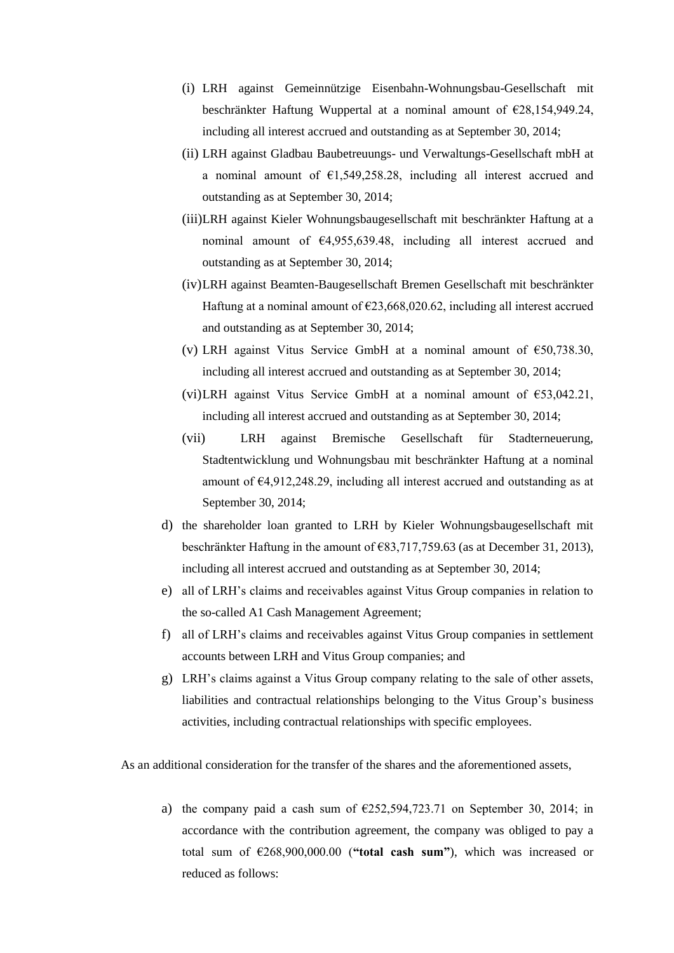- (i) LRH against Gemeinnützige Eisenbahn-Wohnungsbau-Gesellschaft mit beschränkter Haftung Wuppertal at a nominal amount of €28,154,949.24, including all interest accrued and outstanding as at September 30, 2014;
- (ii) LRH against Gladbau Baubetreuungs- und Verwaltungs-Gesellschaft mbH at a nominal amount of €1,549,258.28, including all interest accrued and outstanding as at September 30, 2014;
- (iii)LRH against Kieler Wohnungsbaugesellschaft mit beschränkter Haftung at a nominal amount of €4,955,639.48, including all interest accrued and outstanding as at September 30, 2014;
- (iv)LRH against Beamten-Baugesellschaft Bremen Gesellschaft mit beschränkter Haftung at a nominal amount of  $\epsilon$ 23,668,020.62, including all interest accrued and outstanding as at September 30, 2014;
- (v) LRH against Vitus Service GmbH at a nominal amount of  $\epsilon$ 50,738.30, including all interest accrued and outstanding as at September 30, 2014;
- (vi)LRH against Vitus Service GmbH at a nominal amount of €53,042.21, including all interest accrued and outstanding as at September 30, 2014;
- (vii) LRH against Bremische Gesellschaft für Stadterneuerung, Stadtentwicklung und Wohnungsbau mit beschränkter Haftung at a nominal amount of €4,912,248.29, including all interest accrued and outstanding as at September 30, 2014;
- d) the shareholder loan granted to LRH by Kieler Wohnungsbaugesellschaft mit beschränkter Haftung in the amount of €83,717,759.63 (as at December 31, 2013), including all interest accrued and outstanding as at September 30, 2014;
- e) all of LRH's claims and receivables against Vitus Group companies in relation to the so-called A1 Cash Management Agreement;
- f) all of LRH's claims and receivables against Vitus Group companies in settlement accounts between LRH and Vitus Group companies; and
- g) LRH's claims against a Vitus Group company relating to the sale of other assets, liabilities and contractual relationships belonging to the Vitus Group's business activities, including contractual relationships with specific employees.

As an additional consideration for the transfer of the shares and the aforementioned assets,

a) the company paid a cash sum of  $\epsilon$ 252,594,723.71 on September 30, 2014; in accordance with the contribution agreement, the company was obliged to pay a total sum of €268,900,000.00 (**"total cash sum"**), which was increased or reduced as follows: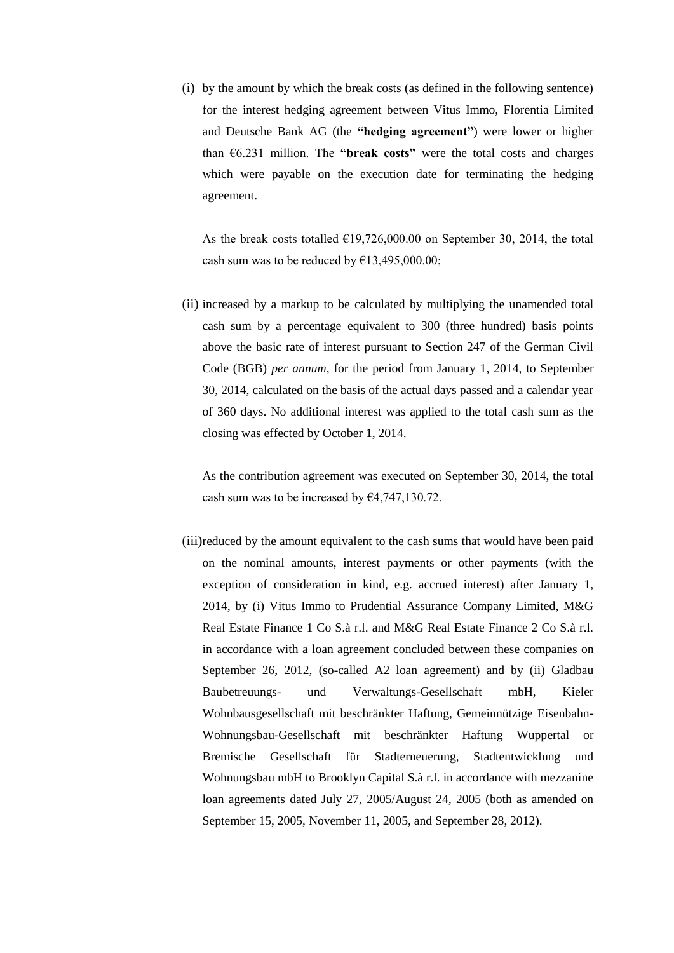(i) by the amount by which the break costs (as defined in the following sentence) for the interest hedging agreement between Vitus Immo, Florentia Limited and Deutsche Bank AG (the **"hedging agreement"**) were lower or higher than  $6.231$  million. The "**break costs**" were the total costs and charges which were payable on the execution date for terminating the hedging agreement.

As the break costs totalled  $E19,726,000.00$  on September 30, 2014, the total cash sum was to be reduced by  $\text{\textsterling}13,495,000.00;$ 

(ii) increased by a markup to be calculated by multiplying the unamended total cash sum by a percentage equivalent to 300 (three hundred) basis points above the basic rate of interest pursuant to Section 247 of the German Civil Code (BGB) *per annum*, for the period from January 1, 2014, to September 30, 2014, calculated on the basis of the actual days passed and a calendar year of 360 days. No additional interest was applied to the total cash sum as the closing was effected by October 1, 2014.

As the contribution agreement was executed on September 30, 2014, the total cash sum was to be increased by  $\epsilon$ 4,747,130.72.

(iii)reduced by the amount equivalent to the cash sums that would have been paid on the nominal amounts, interest payments or other payments (with the exception of consideration in kind, e.g. accrued interest) after January 1, 2014, by (i) Vitus Immo to Prudential Assurance Company Limited, M&G Real Estate Finance 1 Co S.à r.l. and M&G Real Estate Finance 2 Co S.à r.l. in accordance with a loan agreement concluded between these companies on September 26, 2012, (so-called A2 loan agreement) and by (ii) Gladbau Baubetreuungs- und Verwaltungs-Gesellschaft mbH, Kieler Wohnbausgesellschaft mit beschränkter Haftung, Gemeinnützige Eisenbahn-Wohnungsbau-Gesellschaft mit beschränkter Haftung Wuppertal or Bremische Gesellschaft für Stadterneuerung, Stadtentwicklung und Wohnungsbau mbH to Brooklyn Capital S.à r.l. in accordance with mezzanine loan agreements dated July 27, 2005/August 24, 2005 (both as amended on September 15, 2005, November 11, 2005, and September 28, 2012).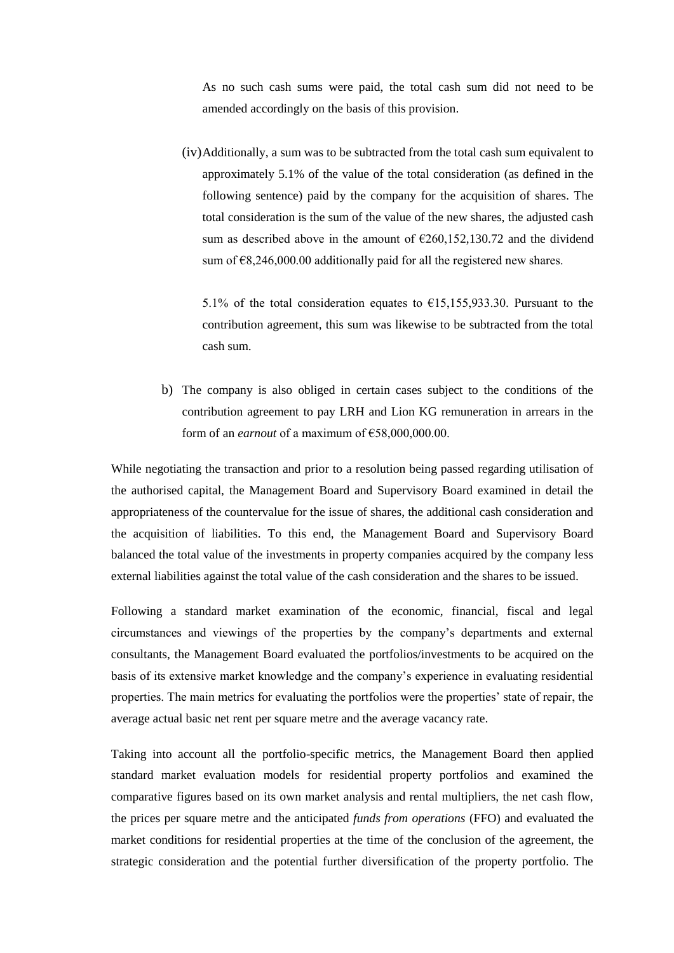As no such cash sums were paid, the total cash sum did not need to be amended accordingly on the basis of this provision.

(iv)Additionally, a sum was to be subtracted from the total cash sum equivalent to approximately 5.1% of the value of the total consideration (as defined in the following sentence) paid by the company for the acquisition of shares. The total consideration is the sum of the value of the new shares, the adjusted cash sum as described above in the amount of  $\epsilon$ 260,152,130.72 and the dividend sum of  $\epsilon$ 8,246,000.00 additionally paid for all the registered new shares.

5.1% of the total consideration equates to  $\epsilon$ 15,155,933.30. Pursuant to the contribution agreement, this sum was likewise to be subtracted from the total cash sum.

b) The company is also obliged in certain cases subject to the conditions of the contribution agreement to pay LRH and Lion KG remuneration in arrears in the form of an *earnout* of a maximum of  $E$ 58,000,000,00.

While negotiating the transaction and prior to a resolution being passed regarding utilisation of the authorised capital, the Management Board and Supervisory Board examined in detail the appropriateness of the countervalue for the issue of shares, the additional cash consideration and the acquisition of liabilities. To this end, the Management Board and Supervisory Board balanced the total value of the investments in property companies acquired by the company less external liabilities against the total value of the cash consideration and the shares to be issued.

Following a standard market examination of the economic, financial, fiscal and legal circumstances and viewings of the properties by the company's departments and external consultants, the Management Board evaluated the portfolios/investments to be acquired on the basis of its extensive market knowledge and the company's experience in evaluating residential properties. The main metrics for evaluating the portfolios were the properties' state of repair, the average actual basic net rent per square metre and the average vacancy rate.

Taking into account all the portfolio-specific metrics, the Management Board then applied standard market evaluation models for residential property portfolios and examined the comparative figures based on its own market analysis and rental multipliers, the net cash flow, the prices per square metre and the anticipated *funds from operations* (FFO) and evaluated the market conditions for residential properties at the time of the conclusion of the agreement, the strategic consideration and the potential further diversification of the property portfolio. The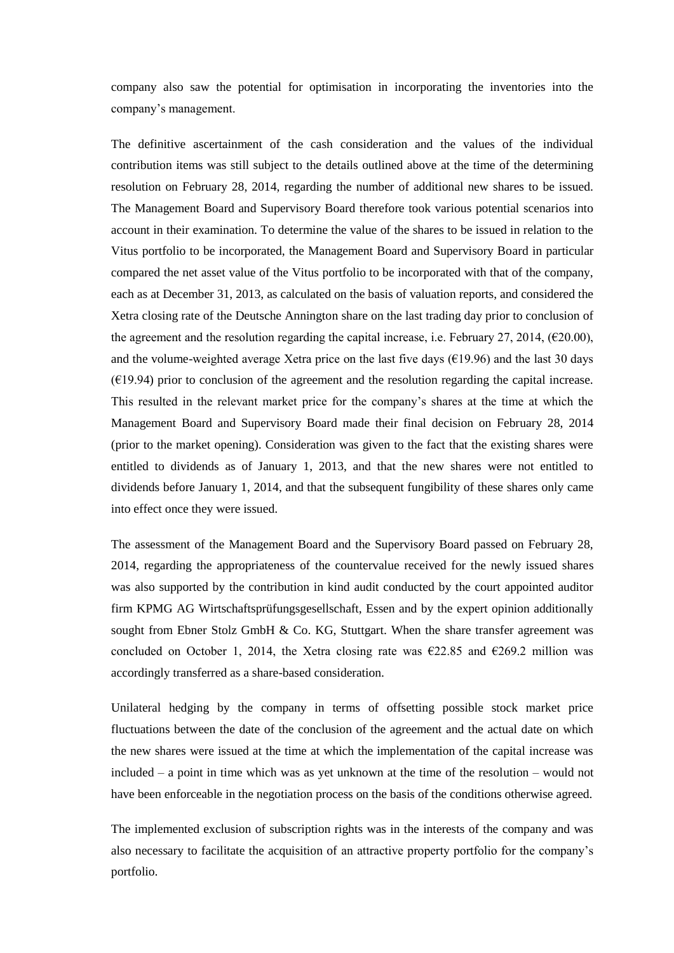company also saw the potential for optimisation in incorporating the inventories into the company's management.

The definitive ascertainment of the cash consideration and the values of the individual contribution items was still subject to the details outlined above at the time of the determining resolution on February 28, 2014, regarding the number of additional new shares to be issued. The Management Board and Supervisory Board therefore took various potential scenarios into account in their examination. To determine the value of the shares to be issued in relation to the Vitus portfolio to be incorporated, the Management Board and Supervisory Board in particular compared the net asset value of the Vitus portfolio to be incorporated with that of the company, each as at December 31, 2013, as calculated on the basis of valuation reports, and considered the Xetra closing rate of the Deutsche Annington share on the last trading day prior to conclusion of the agreement and the resolution regarding the capital increase, i.e. February 27, 2014,  $(\text{\textsterling}20.00)$ , and the volume-weighted average Xetra price on the last five days ( $\epsilon$ 19.96) and the last 30 days  $(619.94)$  prior to conclusion of the agreement and the resolution regarding the capital increase. This resulted in the relevant market price for the company's shares at the time at which the Management Board and Supervisory Board made their final decision on February 28, 2014 (prior to the market opening). Consideration was given to the fact that the existing shares were entitled to dividends as of January 1, 2013, and that the new shares were not entitled to dividends before January 1, 2014, and that the subsequent fungibility of these shares only came into effect once they were issued.

The assessment of the Management Board and the Supervisory Board passed on February 28, 2014, regarding the appropriateness of the countervalue received for the newly issued shares was also supported by the contribution in kind audit conducted by the court appointed auditor firm KPMG AG Wirtschaftsprüfungsgesellschaft, Essen and by the expert opinion additionally sought from Ebner Stolz GmbH & Co. KG, Stuttgart. When the share transfer agreement was concluded on October 1, 2014, the Xetra closing rate was  $\epsilon$ 22.85 and  $\epsilon$ 269.2 million was accordingly transferred as a share-based consideration.

Unilateral hedging by the company in terms of offsetting possible stock market price fluctuations between the date of the conclusion of the agreement and the actual date on which the new shares were issued at the time at which the implementation of the capital increase was included – a point in time which was as yet unknown at the time of the resolution – would not have been enforceable in the negotiation process on the basis of the conditions otherwise agreed.

The implemented exclusion of subscription rights was in the interests of the company and was also necessary to facilitate the acquisition of an attractive property portfolio for the company's portfolio.